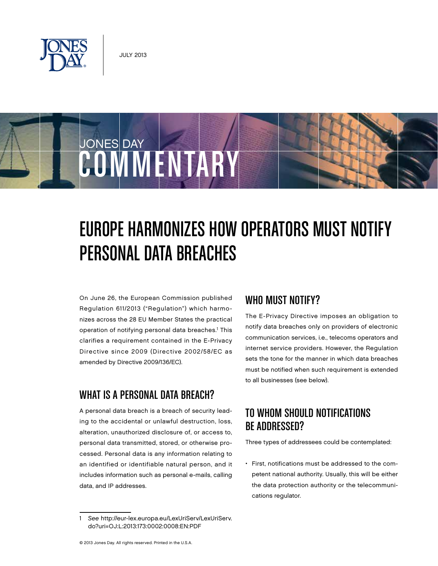

JONES DAY

# Europe Harmonizes How Operators Must Notify Personal Data Breaches

On June 26, the European Commission published Regulation 611/2013 ("Regulation") which harmonizes across the 28 EU Member States the practical operation of notifying personal data breaches.<sup>1</sup> This clarifies a requirement contained in the E-Privacy Directive since 2009 (Directive 2002/58/EC as amended by Directive 2009/136/EC).

COMMENTARY

## WHAT IS A PERSONAL DATA BREACH?

A personal data breach is a breach of security leading to the accidental or unlawful destruction, loss, alteration, unauthorized disclosure of, or access to, personal data transmitted, stored, or otherwise processed. Personal data is any information relating to an identified or identifiable natural person, and it includes information such as personal e-mails, calling data, and IP addresses.

## WHO MUST NOTIFY?

The E-Privacy Directive imposes an obligation to notify data breaches only on providers of electronic communication services, i.e., telecoms operators and internet service providers. However, the Regulation sets the tone for the manner in which data breaches must be notified when such requirement is extended to all businesses (see below).

# TO WHOM SHOULD NOTIFICATIONS Be Addressed?

Three types of addressees could be contemplated:

• First, notifications must be addressed to the competent national authority. Usually, this will be either the data protection authority or the telecommunications regulator.

<sup>1</sup> See http://eur-lex.europa.eu/LexUriServ/LexUriServ. do?uri=OJ:L:2013:173:0002:0008:EN:PDF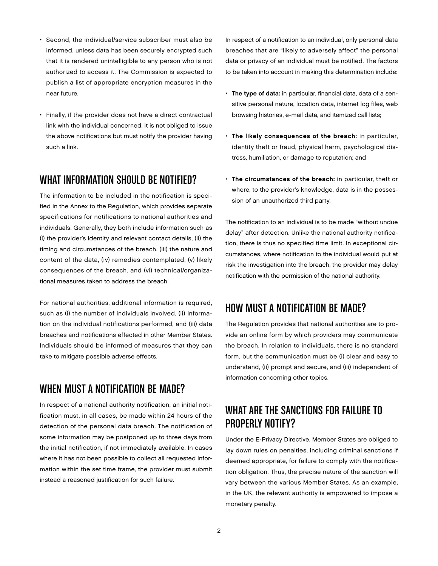- Second, the individual/service subscriber must also be informed, unless data has been securely encrypted such that it is rendered unintelligible to any person who is not authorized to access it. The Commission is expected to publish a list of appropriate encryption measures in the near future.
- Finally, if the provider does not have a direct contractual link with the individual concerned, it is not obliged to issue the above notifications but must notify the provider having such a link.

#### WHAT INFORMATION SHOULD BE NOTIFIED?

The information to be included in the notification is specified in the Annex to the Regulation, which provides separate specifications for notifications to national authorities and individuals. Generally, they both include information such as (i) the provider's identity and relevant contact details, (ii) the timing and circumstances of the breach, (iii) the nature and content of the data, (iv) remedies contemplated, (v) likely consequences of the breach, and (vi) technical/organizational measures taken to address the breach.

For national authorities, additional information is required, such as (i) the number of individuals involved, (ii) information on the individual notifications performed, and (iii) data breaches and notifications effected in other Member States. Individuals should be informed of measures that they can take to mitigate possible adverse effects.

## When Must a Notification Be Made?

In respect of a national authority notification, an initial notification must, in all cases, be made within 24 hours of the detection of the personal data breach. The notification of some information may be postponed up to three days from the initial notification, if not immediately available. In cases where it has not been possible to collect all requested information within the set time frame, the provider must submit instead a reasoned justification for such failure.

In respect of a notification to an individual, only personal data breaches that are "likely to adversely affect" the personal data or privacy of an individual must be notified. The factors to be taken into account in making this determination include:

- The type of data: in particular, financial data, data of a sensitive personal nature, location data, internet log files, web browsing histories, e-mail data, and itemized call lists;
- The likely consequences of the breach: in particular, identity theft or fraud, physical harm, psychological distress, humiliation, or damage to reputation; and
- The circumstances of the breach: in particular, theft or where, to the provider's knowledge, data is in the possession of an unauthorized third party.

The notification to an individual is to be made "without undue delay" after detection. Unlike the national authority notification, there is thus no specified time limit. In exceptional circumstances, where notification to the individual would put at risk the investigation into the breach, the provider may delay notification with the permission of the national authority.

# How Must a Notification Be Made?

The Regulation provides that national authorities are to provide an online form by which providers may communicate the breach. In relation to individuals, there is no standard form, but the communication must be (i) clear and easy to understand, (ii) prompt and secure, and (iii) independent of information concerning other topics.

# WHAT ARE THE SANCTIONS FOR FAILURE TO Properly Notify?

Under the E-Privacy Directive, Member States are obliged to lay down rules on penalties, including criminal sanctions if deemed appropriate, for failure to comply with the notification obligation. Thus, the precise nature of the sanction will vary between the various Member States. As an example, in the UK, the relevant authority is empowered to impose a monetary penalty.